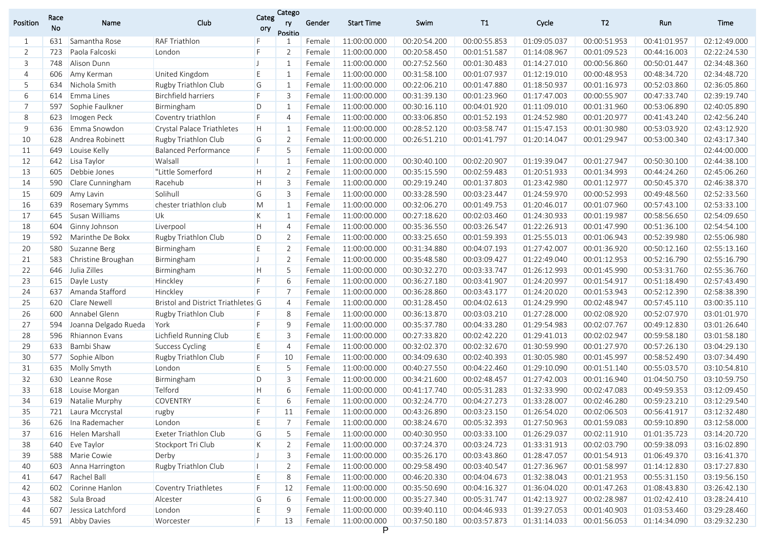| Position | Race<br>No | Name                  | Club                               | Categ<br>ory | Catego<br>ry<br>Positio | Gender | Start Time   | Swim         | T1           | Cycle        | T <sub>2</sub> | Run          | Time         |
|----------|------------|-----------------------|------------------------------------|--------------|-------------------------|--------|--------------|--------------|--------------|--------------|----------------|--------------|--------------|
| 1        | 631        | Samantha Rose         | <b>RAF Triathlon</b>               | F            |                         | Female | 11:00:00.000 | 00:20:54.200 | 00:00:55.853 | 01:09:05.037 | 00:00:51.953   | 00:41:01.957 | 02:12:49.000 |
| 2        | 723        | Paola Falcoski        | London                             | F            | 2                       | Female | 11:00:00.000 | 00:20:58.450 | 00:01:51.587 | 01:14:08.967 | 00:01:09.523   | 00:44:16.003 | 02:22:24.530 |
| 3        | 748        | Alison Dunn           |                                    | IJ           | 1                       | Female | 11:00:00.000 | 00:27:52.560 | 00:01:30.483 | 01:14:27.010 | 00:00:56.860   | 00:50:01.447 | 02:34:48.360 |
| 4        | 606        | Amy Kerman            | United Kingdom                     | E            | 1                       | Female | 11:00:00.000 | 00:31:58.100 | 00:01:07.937 | 01:12:19.010 | 00:00:48.953   | 00:48:34.720 | 02:34:48.720 |
| 5        | 634        | Nichola Smith         | Rugby Triathlon Club               | G            | 1                       | Female | 11:00:00.000 | 00:22:06.210 | 00:01:47.880 | 01:18:50.937 | 00:01:16.973   | 00:52:03.860 | 02:36:05.860 |
| 6        | 614        | Emma Lines            | <b>Birchfield harriers</b>         | F            | 3                       | Female | 11:00:00.000 | 00:31:39.130 | 00:01:23.960 | 01:17:47.003 | 00:00:55.907   | 00:47:33.740 | 02:39:19.740 |
| 7        | 597        | Sophie Faulkner       | Birmingham                         | D            | 1                       | Female | 11:00:00.000 | 00:30:16.110 | 00:04:01.920 | 01:11:09.010 | 00:01:31.960   | 00:53:06.890 | 02:40:05.890 |
| 8        | 623        | Imogen Peck           | Coventry triathlon                 | F            | $\overline{4}$          | Female | 11:00:00.000 | 00:33:06.850 | 00:01:52.193 | 01:24:52.980 | 00:01:20.977   | 00:41:43.240 | 02:42:56.240 |
| 9        | 636        | Emma Snowdon          | <b>Crystal Palace Triathletes</b>  | H            | 1                       | Female | 11:00:00.000 | 00:28:52.120 | 00:03:58.747 | 01:15:47.153 | 00:01:30.980   | 00:53:03.920 | 02:43:12.920 |
| 10       | 628        | Andrea Robinett       | Rugby Triathlon Club               | G            | 2                       | Female | 11:00:00.000 | 00:26:51.210 | 00:01:41.797 | 01:20:14.047 | 00:01:29.947   | 00:53:00.340 | 02:43:17.340 |
| 11       | 649        | Louise Kelly          | <b>Balanced Performance</b>        | F            | 5                       | Female | 11:00:00.000 |              |              |              |                |              | 02:44:00.000 |
| 12       | 642        | Lisa Taylor           | Walsall                            | п            | 1                       | Female | 11:00:00.000 | 00:30:40.100 | 00:02:20.907 | 01:19:39.047 | 00:01:27.947   | 00:50:30.100 | 02:44:38.100 |
| 13       | 605        | Debbie Jones          | "Little Somerford                  | H.           | 2                       | Female | 11:00:00.000 | 00:35:15.590 | 00:02:59.483 | 01:20:51.933 | 00:01:34.993   | 00:44:24.260 | 02:45:06.260 |
| 14       | 590        | Clare Cunningham      | Racehub                            | H.           | 3                       | Female | 11:00:00.000 | 00:29:19.240 | 00:01:37.803 | 01:23:42.980 | 00:01:12.977   | 00:50:45.370 | 02:46:38.370 |
| 15       | 609        | Amy Lavin             | Solihull                           | G            | 3                       | Female | 11:00:00.000 | 00:33:28.590 | 00:03:23.447 | 01:24:59.970 | 00:00:52.993   | 00:49:48.560 | 02:52:33.560 |
| 16       | 639        | <b>Rosemary Symms</b> | chester triathlon club             | M            | 1                       | Female | 11:00:00.000 | 00:32:06.270 | 00:01:49.753 | 01:20:46.017 | 00:01:07.960   | 00:57:43.100 | 02:53:33.100 |
| 17       | 645        | Susan Williams        | Uk                                 | K            | 1                       | Female | 11:00:00.000 | 00:27:18.620 | 00:02:03.460 | 01:24:30.933 | 00:01:19.987   | 00:58:56.650 | 02:54:09.650 |
| 18       | 604        | Ginny Johnson         | Liverpool                          | H            | $\overline{4}$          | Female | 11:00:00.000 | 00:35:36.550 | 00:03:26.547 | 01:22:26.913 | 00:01:47.990   | 00:51:36.100 | 02:54:54.100 |
| 19       | 592        | Marinthe De Bokx      | Rugby Triathlon Club               | D            | 2                       | Female | 11:00:00.000 | 00:33:25.650 | 00:01:59.393 | 01:25:55.013 | 00:01:06.943   | 00:52:39.980 | 02:55:06.980 |
| 20       | 580        | Suzanne Berg          | Birmingham                         | E            | 2                       | Female | 11:00:00.000 | 00:31:34.880 | 00:04:07.193 | 01:27:42.007 | 00:01:36.920   | 00:50:12.160 | 02:55:13.160 |
| 21       | 583        | Christine Broughan    | Birmingham                         | $\mathsf{L}$ | 2                       | Female | 11:00:00.000 | 00:35:48.580 | 00:03:09.427 | 01:22:49.040 | 00:01:12.953   | 00:52:16.790 | 02:55:16.790 |
| 22       | 646        | Julia Zilles          | Birmingham                         | H.           |                         | Female | 11:00:00.000 | 00:30:32.270 | 00:03:33.747 | 01:26:12.993 | 00:01:45.990   | 00:53:31.760 | 02:55:36.760 |
| 23       | 615        | Dayle Lusty           | Hinckley                           | F            | 6                       | Female | 11:00:00.000 | 00:36:27.180 | 00:03:41.907 | 01:24:20.997 | 00:01:54.917   | 00:51:18.490 | 02:57:43.490 |
| 24       | 637        | Amanda Stafford       | Hinckley                           | F            |                         | Female | 11:00:00.000 | 00:36:28.860 | 00:03:43.177 | 01:24:20.020 | 00:01:53.943   | 00:52:12.390 | 02:58:38.390 |
| 25       | 620        | Clare Newell          | Bristol and District Triathletes G |              | $\overline{4}$          | Female | 11:00:00.000 | 00:31:28.450 | 00:04:02.613 | 01:24:29.990 | 00:02:48.947   | 00:57:45.110 | 03:00:35.110 |
| 26       | 600        | Annabel Glenn         | Rugby Triathlon Club               |              | 8                       | Female | 11:00:00.000 | 00:36:13.870 | 00:03:03.210 | 01:27:28.000 | 00:02:08.920   | 00:52:07.970 | 03:01:01.970 |
| 27       | 594        | Joanna Delgado Rueda  | York                               | F            | 9                       | Female | 11:00:00.000 | 00:35:37.780 | 00:04:33.280 | 01:29:54.983 | 00:02:07.767   | 00:49:12.830 | 03:01:26.640 |
| 28       | 596        | <b>Rhiannon Evans</b> | Lichfield Running Club             | E            | $\overline{3}$          | Female | 11:00:00.000 | 00:27:33.820 | 00:02:42.220 | 01:29:41.013 | 00:02:02.947   | 00:59:58.180 | 03:01:58.180 |
| 29       | 633        | Bambi Shaw            | Success Cycling                    | E            |                         | Female | 11:00:00.000 | 00:32:02.370 | 00:02:32.670 | 01:30:59.990 | 00:01:27.970   | 00:57:26.130 | 03:04:29.130 |
| 30       | 577        | Sophie Albon          | Rugby Triathlon Club               | F.           | 10                      | Female | 11:00:00.000 | 00:34:09.630 | 00:02:40.393 | 01:30:05.980 | 00:01:45.997   | 00:58:52.490 | 03:07:34.490 |
| 31       | 635        | Molly Smyth           | London                             | E            | 5                       | Female | 11:00:00.000 | 00:40:27.550 | 00:04:22.460 | 01:29:10.090 | 00:01:51.140   | 00:55:03.570 | 03:10:54.810 |
| 32       | 630        | Leanne Rose           | Birmingham                         | D            | 3                       | Female | 11:00:00.000 | 00:34:21.600 | 00:02:48.457 | 01:27:42.003 | 00:01:16.940   | 01:04:50.750 | 03:10:59.750 |
| 33       | 618        | Louise Morgan         | Telford                            | H.           | 6                       | Female | 11:00:00.000 | 00:41:17.740 | 00:05:31.283 | 01:32:33.990 | 00:02:47.083   | 00:49:59.353 | 03:12:09.450 |
| 34       | 619        | Natalie Murphy        | <b>COVENTRY</b>                    | E            | 6                       | Female | 11:00:00.000 | 00:32:24.770 | 00:04:27.273 | 01:33:28.007 | 00:02:46.280   | 00:59:23.210 | 03:12:29.540 |
| 35       |            | 721 Laura Mccrystal   | rugby                              | F            | 11                      | Female | 11:00:00.000 | 00:43:26.890 | 00:03:23.150 | 01:26:54.020 | 00:02:06.503   | 00:56:41.917 | 03:12:32.480 |
| 36       |            | 626 Ina Rademacher    | London                             | E            | $\overline{7}$          | Female | 11:00:00.000 | 00:38:24.670 | 00:05:32.393 | 01:27:50.963 | 00:01:59.083   | 00:59:10.890 | 03:12:58.000 |
| 37       | 616        | <b>Helen Marshall</b> | Exeter Triathlon Club              | G            | -5                      | Female | 11:00:00.000 | 00:40:30.950 | 00:03:33.100 | 01:26:29.037 | 00:02:11.910   | 01:01:35.723 | 03:14:20.720 |
| 38       | 640        | Eve Taylor            | Stockport Tri Club                 | K            | $\overline{2}$          | Female | 11:00:00.000 | 00:37:24.370 | 00:03:24.723 | 01:33:31.913 | 00:02:03.790   | 00:59:38.093 | 03:16:02.890 |
| 39       | 588        | Marie Cowie           | Derby                              | $\mathsf{L}$ | 3                       | Female | 11:00:00.000 | 00:35:26.170 | 00:03:43.860 | 01:28:47.057 | 00:01:54.913   | 01:06:49.370 | 03:16:41.370 |
| 40       | 603        | Anna Harrington       | Rugby Triathlon Club               | Ш            | 2                       | Female | 11:00:00.000 | 00:29:58.490 | 00:03:40.547 | 01:27:36.967 | 00:01:58.997   | 01:14:12.830 | 03:17:27.830 |
| 41       | 647        | Rachel Ball           |                                    | E            | 8                       | Female | 11:00:00.000 | 00:46:20.330 | 00:04:04.673 | 01:32:38.043 | 00:01:21.953   | 00:55:31.150 | 03:19:56.150 |
| 42       | 602        | Corinne Hanlon        | <b>Coventry Triathletes</b>        | F            | 12                      | Female | 11:00:00.000 | 00:35:50.690 | 00:04:16.327 | 01:36:04.020 | 00:01:47.263   | 01:08:43.830 | 03:26:42.130 |
| 43       | 582        | Sula Broad            | Alcester                           | G            | 6                       | Female | 11:00:00.000 | 00:35:27.340 | 00:05:31.747 | 01:42:13.927 | 00:02:28.987   | 01:02:42.410 | 03:28:24.410 |
| 44       | 607        | Jessica Latchford     | London                             | E            | 9                       | Female | 11:00:00.000 | 00:39:40.110 | 00:04:46.933 | 01:39:27.053 | 00:01:40.903   | 01:03:53.460 | 03:29:28.460 |
| 45       |            | 591 Abby Davies       | Worcester                          | F            | 13                      | Female | 11:00:00.000 | 00:37:50.180 | 00:03:57.873 | 01:31:14.033 | 00:01:56.053   | 01:14:34.090 | 03:29:32.230 |